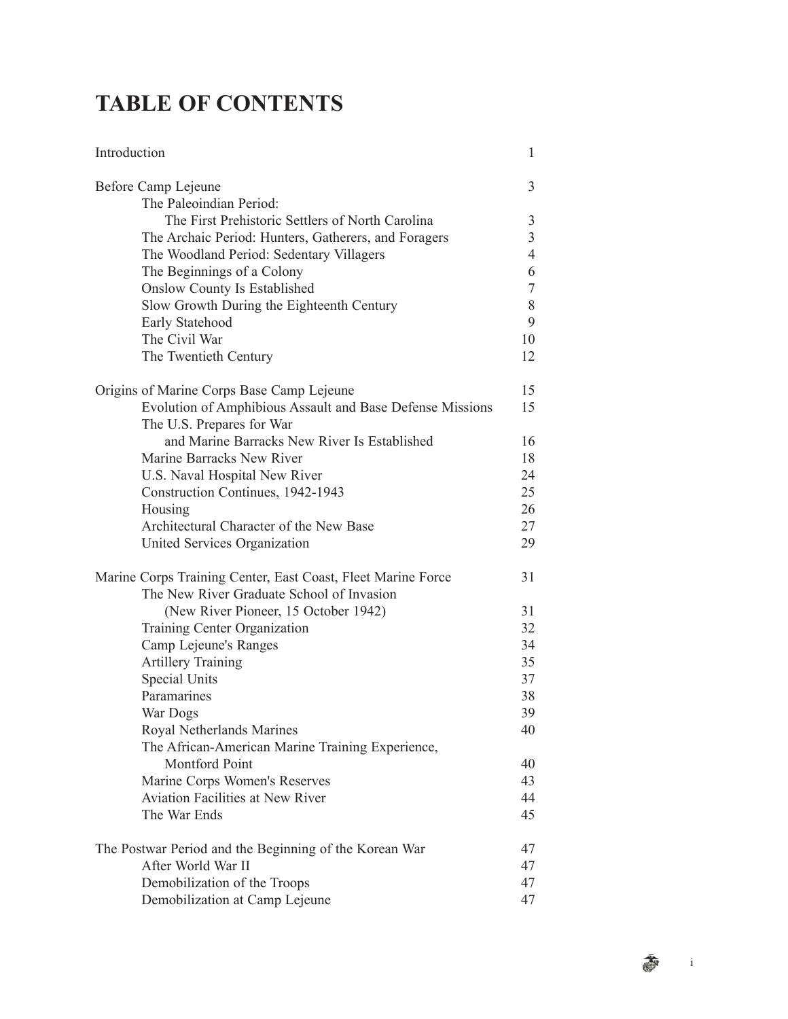## **TABLE OF CONTENTS**

| Introduction                                                 | 1              |
|--------------------------------------------------------------|----------------|
| Before Camp Lejeune                                          | 3              |
| The Paleoindian Period:                                      |                |
| The First Prehistoric Settlers of North Carolina             | 3              |
| The Archaic Period: Hunters, Gatherers, and Foragers         | $\mathfrak{Z}$ |
| The Woodland Period: Sedentary Villagers                     | $\overline{4}$ |
| The Beginnings of a Colony                                   | 6              |
| <b>Onslow County Is Established</b>                          | $\tau$         |
| Slow Growth During the Eighteenth Century                    | 8              |
| Early Statehood                                              | 9              |
| The Civil War                                                | 10             |
| The Twentieth Century                                        | 12             |
| Origins of Marine Corps Base Camp Lejeune                    | 15             |
| Evolution of Amphibious Assault and Base Defense Missions    | 15             |
| The U.S. Prepares for War                                    |                |
| and Marine Barracks New River Is Established                 | 16             |
| Marine Barracks New River                                    | 18             |
| U.S. Naval Hospital New River                                | 24             |
| Construction Continues, 1942-1943                            | 25             |
| Housing                                                      | 26             |
| Architectural Character of the New Base                      | 27             |
| United Services Organization                                 | 29             |
| Marine Corps Training Center, East Coast, Fleet Marine Force | 31             |
| The New River Graduate School of Invasion                    |                |
| (New River Pioneer, 15 October 1942)                         | 31             |
| Training Center Organization                                 | 32             |
| Camp Lejeune's Ranges                                        | 34             |
| <b>Artillery Training</b>                                    | 35             |
| Special Units                                                | 37             |
| Paramarines                                                  | 38             |
| War Dogs                                                     | 39             |
| Royal Netherlands Marines                                    | 40             |
| The African-American Marine Training Experience,             |                |
| Montford Point                                               | 40             |
| Marine Corps Women's Reserves                                | 43             |
| <b>Aviation Facilities at New River</b>                      | 44             |
| The War Ends                                                 | 45             |
| The Postwar Period and the Beginning of the Korean War       | 47             |
| After World War II                                           | 47             |
| Demobilization of the Troops                                 | 47             |
| Demobilization at Camp Lejeune                               | 47             |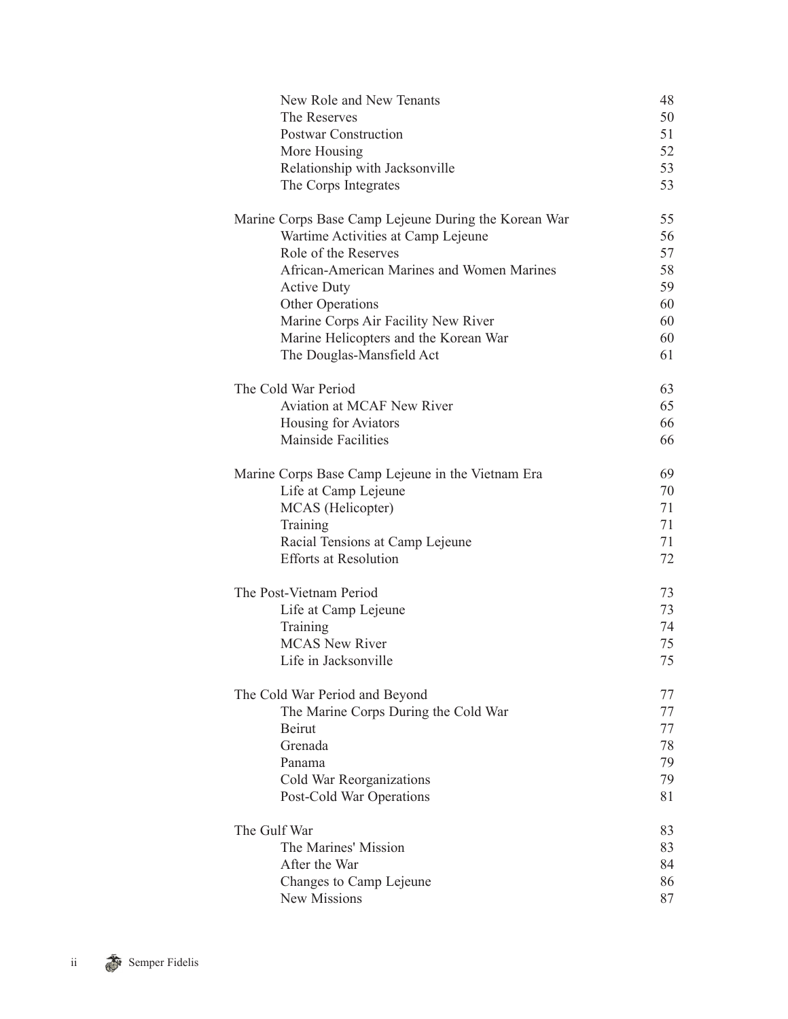| New Role and New Tenants                             | 48 |
|------------------------------------------------------|----|
| The Reserves                                         | 50 |
| <b>Postwar Construction</b>                          | 51 |
| More Housing                                         | 52 |
| Relationship with Jacksonville                       | 53 |
| The Corps Integrates                                 | 53 |
| Marine Corps Base Camp Lejeune During the Korean War | 55 |
| Wartime Activities at Camp Lejeune                   | 56 |
| Role of the Reserves                                 | 57 |
| African-American Marines and Women Marines           | 58 |
| <b>Active Duty</b>                                   | 59 |
| Other Operations                                     | 60 |
| Marine Corps Air Facility New River                  | 60 |
| Marine Helicopters and the Korean War                | 60 |
| The Douglas-Mansfield Act                            | 61 |
| The Cold War Period                                  | 63 |
| Aviation at MCAF New River                           | 65 |
| Housing for Aviators                                 | 66 |
| <b>Mainside Facilities</b>                           | 66 |
| Marine Corps Base Camp Lejeune in the Vietnam Era    | 69 |
| Life at Camp Lejeune                                 | 70 |
| MCAS (Helicopter)                                    | 71 |
| Training                                             | 71 |
| Racial Tensions at Camp Lejeune                      | 71 |
| <b>Efforts at Resolution</b>                         | 72 |
| The Post-Vietnam Period                              | 73 |
| Life at Camp Lejeune                                 | 73 |
| Training                                             | 74 |
| <b>MCAS New River</b>                                | 75 |
| Life in Jacksonville                                 | 75 |
| The Cold War Period and Beyond                       | 77 |
| The Marine Corps During the Cold War                 | 77 |
| Beirut                                               | 77 |
| Grenada                                              | 78 |
| Panama                                               | 79 |
| Cold War Reorganizations                             | 79 |
| Post-Cold War Operations                             | 81 |
| The Gulf War                                         | 83 |
| The Marines' Mission                                 | 83 |
| After the War                                        | 84 |
| Changes to Camp Lejeune                              | 86 |
| New Missions                                         | 87 |